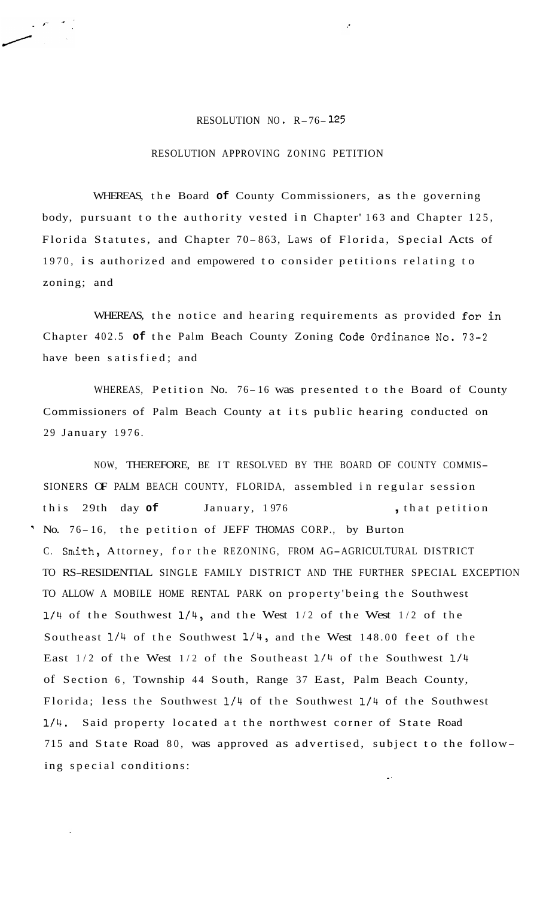## RESOLUTION NO R-76- **<sup>125</sup>**

## RESOLUTION APPROVING ZONING PETITION

WHEREAS, the Board **of** County Commissioners, as the governing body, pursuant to the authority vested in Chapter' 163 and Chapter 125, Florida Statutes, and Chapter 70- 863, Laws of Florida, Special Acts of 1970, is authorized and empowered to consider petitions relating to zoning; and

WHEREAS, the notice and hearing requirements as provided for in Chapter 402.5 **of** the Palm Beach County Zoning Code Ordinance No. 73-2 have been satisfied; and

WHEREAS, Petition No. 76-16 was presented to the Board of County Commissioners of Palm Beach County at its public hearing conducted on 29 January 1976.

NOW, THEREFORE, BE IT RESOLVED BY THE BOARD OF COUNTY COMMIS-SIONERS OF PALM BEACH COUNTY, FLORIDA, assembled in regular session this 29th day of January, 1976 , that petition ' No. 76-16, the petition of JEFF THOMAS CORP., by Burton C. Smith, Attorney, for the REZONING, FROM AG-AGRICULTURAL DISTRICT TO RS-RESIDENTIAL SINGLE FAMILY DISTRICT AND THE FURTHER SPECIAL EXCEPTION TO ALLOW A MOBILE HOME RENTAL PARK on property'being the Southwest **1/4** of the Southwest 1/4, and the West 1/2 of the West 1/2 of the Southeast 1/4 of the Southwest 1/4, and the West 148.00 feet of the East 1/2 of the West 1/2 of the Southeast **1/4** of the Southwest **1/4**  of Section 6, Township 44 South, Range 37 East, Palm Beach County, Florida; less the Southwest 1/4 of the Southwest **1/4** of the Southwest **1/4.** Said property located at the northwest corner of State Road 715 and State Road 80, was approved as advertised, subject to the following special conditions: .'